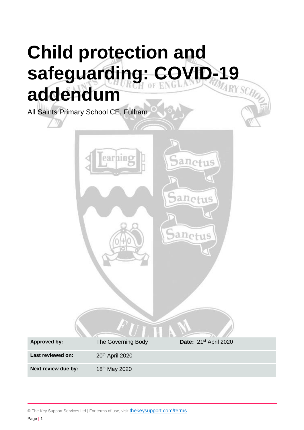# **Child protection and**  safeguarding: COVID-19 **addendum**

All Saints Primary School CE, Fulham



© The Key Support Services Ltd | For terms of use, visit **[thekeysupport.com/terms](https://thekeysupport.com/terms-of-use)**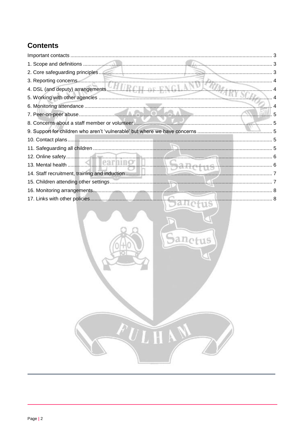# **Contents**

| 2. Core safeguarding principles                |  |
|------------------------------------------------|--|
|                                                |  |
|                                                |  |
|                                                |  |
|                                                |  |
|                                                |  |
| 8. Concerns about a staff member or volunteer. |  |
|                                                |  |
|                                                |  |
|                                                |  |
|                                                |  |
|                                                |  |
|                                                |  |
|                                                |  |
|                                                |  |
|                                                |  |

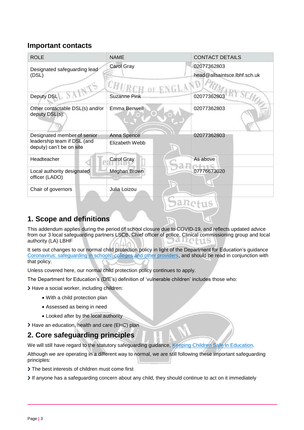## <span id="page-2-0"></span>**Important contacts**

| <b>ROLE</b>                                                                            | <b>NAME</b>                   | <b>CONTACT DETAILS</b>                      |
|----------------------------------------------------------------------------------------|-------------------------------|---------------------------------------------|
| Designated safeguarding lead<br>(DSL)                                                  | Carol Gray                    | 02077362803<br>head@allsaintsce.lbhf.sch.uk |
|                                                                                        |                               |                                             |
| Deputy DSL                                                                             | <b>Suzanne Pink</b>           | 02077362803                                 |
| Other contactable DSL(s) and/or<br>deputy DSL(s):                                      | Emma Benwell                  | 02077362803                                 |
| Designated member of senior<br>leadership team if DSL (and<br>deputy) can't be on site | Anna Spence<br>Elizabeth Webb | 02077362803                                 |
| Headteacher                                                                            | Carol Gray                    | As above                                    |
| Local authority designated<br>officer (LADO)                                           | Meghan Brown                  | 07776673020                                 |
| Chair of governors                                                                     | Julia Loizou                  |                                             |
|                                                                                        |                               |                                             |

## <span id="page-2-1"></span>**1. Scope and definitions**

This addendum applies during the period of school closure due to COVID-19, and reflects updated advice from our 3 local safeguarding partners LSCB, Chief officer of police, Clinical commissioning group and local authority (LA) LBHF

It sets out changes to our normal child protection policy in light of the Department for Education's guidance [Coronavirus: safeguarding in schools, colleges and other providers,](https://www.gov.uk/government/publications/covid-19-safeguarding-in-schools-colleges-and-other-providers) and should be read in conjunction with that policy.

Unless covered here, our normal child protection policy continues to apply.

The Department for Education's (DfE's) definition of 'vulnerable children' includes those who:

> Have a social worker, including children:

- With a child protection plan
- Assessed as being in need
- Looked after by the local authority
- > Have an education, health and care (EHC) plan

## <span id="page-2-2"></span>**2. Core safeguarding principles**

We will still have regard to the statutory safeguarding guidance, [Keeping Children Safe in Education.](https://www.gov.uk/government/publications/keeping-children-safe-in-education--2)

Although we are operating in a different way to normal, we are still following these important safeguarding principles:

- The best interests of children must come first
- If anyone has a safeguarding concern about any child, they should continue to act on it immediately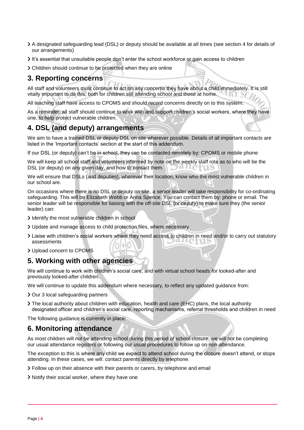- A designated safeguarding lead (DSL) or deputy should be available at all times (see section 4 for details of our arrangements)
- It's essential that unsuitable people don't enter the school workforce or gain access to children
- Children should continue to be protected when they are online

### <span id="page-3-0"></span>**3. Reporting concerns**

All staff and volunteers must continue to act on any concerns they have about a child immediately. It is still vitally important to do this, both for children still attending school and those at home.

All teaching staff have access to CPOMS and should record concerns directly on to this system.

As a reminder, all staff should continue to work with and support children's social workers, where they have one, to help protect vulnerable children.

## <span id="page-3-1"></span>**4. DSL (and deputy) arrangements**

We aim to have a trained DSL or deputy DSL on site wherever possible. Details of all important contacts are listed in the 'Important contacts' section at the start of this addendum.

If our DSL (or deputy) can't be in school, they can be contacted remotely by: CPOMS or mobile phone

We will keep all school staff and volunteers informed by note on the weekly staff rota as to who will be the DSL (or deputy) on any given day, and how to contact them.

We will ensure that DSLs (and deputies), wherever their location, know who the most vulnerable children in our school are.

On occasions where there is no DSL or deputy on site, a senior leader will take responsibility for co-ordinating safeguarding. This will be Elizabeth Webb or Anna Spence. You can contact them by: phone or email. The senior leader will be responsible for liaising with the off-site DSL (or deputy) to make sure they (the senior leader) can:

- I dentify the most vulnerable children in school
- Update and manage access to child protection files, where necessary
- Liaise with children's social workers where they need access to children in need and/or to carry out statutory assessments
- Upload concern to CPOMS

#### <span id="page-3-2"></span>**5. Working with other agencies**

We will continue to work with children's social care, and with virtual school heads for looked-after and previously looked-after children.

We will continue to update this addendum where necessary, to reflect any updated guidance from:

- > Our 3 local safeguarding partners
- The local authority about children with education, health and care (EHC) plans, the local authority designated officer and children's social care, reporting mechanisms, referral thresholds and children in need

The following guidance is currently in place:

#### <span id="page-3-3"></span>**6. Monitoring attendance**

As most children will not be attending school during this period of school closure, we will not be completing our usual attendance registers or following our usual procedures to follow up on non-attendance.

The exception to this is where any child we expect to attend school during the closure doesn't attend, or stops attending. In these cases, we will: contact parents directly by telephone.

- Follow up on their absence with their parents or carers, by telephone and email
- Notify their social worker, where they have one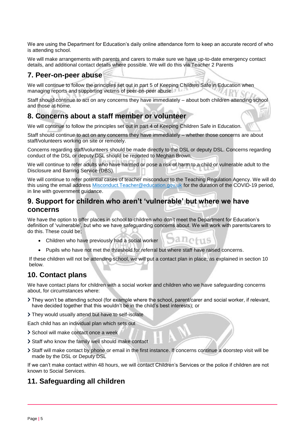We are using the Department for Education's daily online attendance form to keep an accurate record of who is attending school.

We will make arrangements with parents and carers to make sure we have up-to-date emergency contact details, and additional contact details where possible. We will do this via Teacher 2 Parents

#### <span id="page-4-0"></span>**7. Peer-on-peer abuse**

We will continue to follow the principles set out in part 5 of Keeping Children Safe in Education when managing reports and supporting victims of peer-on-peer abuse.

Staff should continue to act on any concerns they have immediately – about both children attending school and those at home.

#### <span id="page-4-1"></span>**8. Concerns about a staff member or volunteer**

We will continue to follow the principles set out in part 4 of Keeping Children Safe in Education.

Staff should continue to act on any concerns they have immediately – whether those concerns are about staff/volunteers working on site or remotely.

Concerns regarding staff/volunteers should be made directly to the DSL or deputy DSL. Concerns regarding conduct of the DSL or deputy DSL should be reported to Meghan Brown.

We will continue to refer adults who have harmed or pose a risk of harm to a child or vulnerable adult to the Disclosure and Barring Service (DBS).

We will continue to refer potential cases of teacher misconduct to the Teaching Regulation Agency. We will do this using the email address Misconduct. Teacher@education.gov.uk for the duration of the COVID-19 period, in line with government guidance.

## <span id="page-4-2"></span>**9. Support for children who aren't 'vulnerable' but where we have concerns**

We have the option to offer places in school to children who don't meet the Department for Education's definition of 'vulnerable', but who we have safeguarding concerns about. We will work with parents/carers to do this. These could be;

110 TIIS

- Children who have previously had a social worker
- Pupils who have not met the threshold for referral but where staff have raised concerns.

If these children will not be attending school, we will put a contact plan in place, as explained in section 10 below.

## <span id="page-4-3"></span>**10. Contact plans**

We have contact plans for children with a social worker and children who we have safeguarding concerns about, for circumstances where:

- They won't be attending school (for example where the school, parent/carer and social worker, if relevant, have decided together that this wouldn't be in the child's best interests); or
- They would usually attend but have to self-isolate

Each child has an individual plan which sets out

- > School will make contact once a week
- Staff who know the family well should make contact
- Staff will make contact by phone or email in the first instance. If concerns continue a doorstep visit will be made by the DSL or Deputy DSL

If we can't make contact within 48 hours, we will contact Children's Services or the police if children are not known to Social Services.

#### <span id="page-4-4"></span>**11. Safeguarding all children**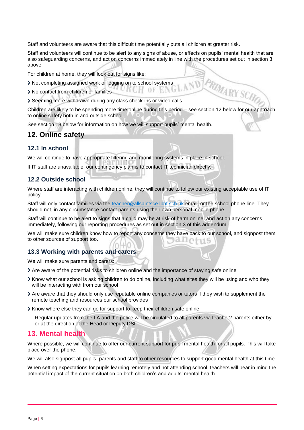Staff and volunteers are aware that this difficult time potentially puts all children at greater risk.

Staff and volunteers will continue to be alert to any signs of abuse, or effects on pupils' mental health that are also safeguarding concerns, and act on concerns immediately in line with the procedures set out in section 3 above

For children at home, they will look out for signs like:

- Not completing assigned work or logging on to school systems
- > No contact from children or families
- Seeming more withdrawn during any class check-ins or video calls

PRIMARY SCHOL Children are likely to be spending more time online during this period – see section 12 below for our approach to online safety both in and outside school.

See section 13 below for information on how we will support pupils' mental health.

#### <span id="page-5-0"></span>**12. Online safety**

#### **12.1 In school**

We will continue to have appropriate filtering and monitoring systems in place in school.

If IT staff are unavailable, our contingency plan is to contact IT technician directly.

#### **12.2 Outside school**

Where staff are interacting with children online, they will continue to follow our existing acceptable use of IT policy.

Staff will only contact families via the [teacher@allsaintsce.lbhf.sch.uk](mailto:teacher@allsaintsce.lbhf.sch.uk) email, or the school phone line. They should not, in any circumstance contact parents using their own personal mobile phone.

Staff will continue to be alert to signs that a child may be at risk of harm online, and act on any concerns immediately, following our reporting procedures as set out in section 3 of this addendum.

We will make sure children know how to report any concerns they have back to our school, and signpost them to other sources of support too.

#### **13.3 Working with parents and carers**

We will make sure parents and carers:

- Are aware of the potential risks to children online and the importance of staying safe online
- Know what our school is asking children to do online, including what sites they will be using and who they will be interacting with from our school
- Are aware that they should only use reputable online companies or tutors if they wish to supplement the remote teaching and resources our school provides
- Know where else they can go for support to keep their children safe online

Regular updates from the LA and the police will be circulated to all parents via teacher2 parents either by or at the direction of the Head or Deputy DSL

#### <span id="page-5-1"></span>**13. Mental health**

Where possible, we will continue to offer our current support for pupil mental health for all pupils. This will take place over the phone.

We will also signpost all pupils, parents and staff to other resources to support good mental health at this time.

When setting expectations for pupils learning remotely and not attending school, teachers will bear in mind the potential impact of the current situation on both children's and adults' mental health.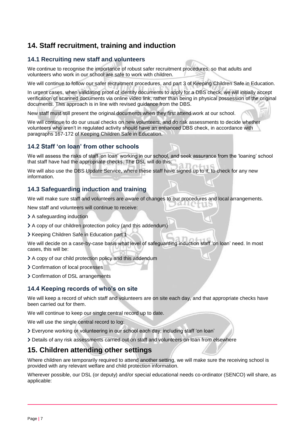## <span id="page-6-0"></span>**14. Staff recruitment, training and induction**

#### **14.1 Recruiting new staff and volunteers**

We continue to recognise the importance of robust safer recruitment procedures, so that adults and volunteers who work in our school are safe to work with children.

We will continue to follow our safer recruitment procedures, and part 3 of Keeping Children Safe in Education.

In urgent cases, when validating proof of identity documents to apply for a DBS check, we will initially accept verification of scanned documents via online video link, rather than being in physical possession of the original documents. This approach is in line with revised guidance from the DBS.

New staff must still present the original documents when they first attend work at our school.

We will continue to do our usual checks on new volunteers, and do risk assessments to decide whether volunteers who aren't in regulated activity should have an enhanced DBS check, in accordance with paragraphs 167-172 of Keeping Children Safe in Education.

#### **14.2 Staff 'on loan' from other schools**

We will assess the risks of staff 'on loan' working in our school, and seek assurance from the 'loaning' school that staff have had the appropriate checks. The DSL will do this.

We will also use the DBS Update Service, where these staff have signed up to it, to check for any new information.

#### **14.3 Safeguarding induction and training**

We will make sure staff and volunteers are aware of changes to our procedures and local arrangements.

New staff and volunteers will continue to receive:

- > A safequarding induction
- A copy of our children protection policy (and this addendum)
- Xeeping Children Safe in Education part 1

We will decide on a case-by-case basis what level of safeguarding induction staff 'on loan' need. In most cases, this will be:

- A copy of our child protection policy and this addendum
- > Confirmation of local processes
- Confirmation of DSL arrangements

#### **14.4 Keeping records of who's on site**

We will keep a record of which staff and volunteers are on site each day, and that appropriate checks have been carried out for them.

We will continue to keep our single central record up to date.

We will use the single central record to log:

- Everyone working or volunteering in our school each day, including staff 'on loan'
- Details of any risk assessments carried out on staff and volunteers on loan from elsewhere

## <span id="page-6-1"></span>**15. Children attending other settings**

Where children are temporarily required to attend another setting, we will make sure the receiving school is provided with any relevant welfare and child protection information.

Wherever possible, our DSL (or deputy) and/or special educational needs co-ordinator (SENCO) will share, as applicable: